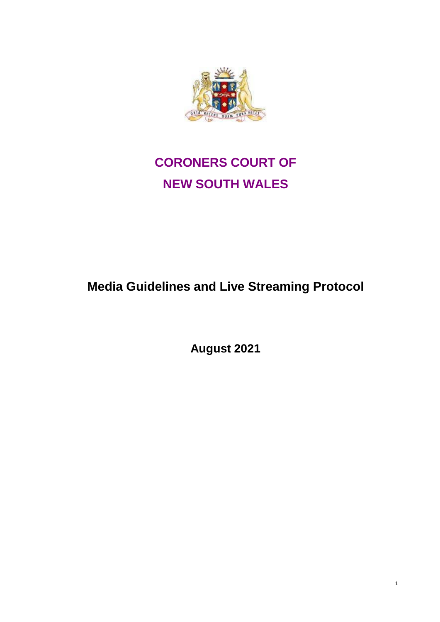

## **CORONERS COURT OF NEW SOUTH WALES**

## **Media Guidelines and Live Streaming Protocol**

**August 2021**

1